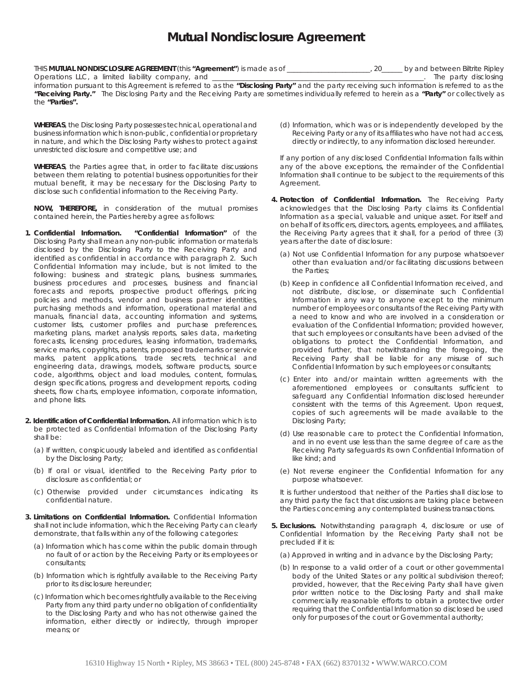## **Mutual Nondisclosure Agreement**

THIS **MUTUAL NONDISCLOSURE AGREEMENT** (this *"Agreement"*) is made as of \_\_\_\_\_\_\_\_\_\_\_\_\_\_\_\_\_\_\_\_\_\_\_\_, 20\_\_\_\_\_\_ by and between Biltrite Ripley Operations LLC, a limited liability company, and \_\_\_\_\_\_\_\_\_\_\_\_\_\_\_\_\_\_\_\_\_\_\_\_\_\_\_\_\_\_\_\_\_\_\_\_\_\_\_\_\_\_\_\_\_\_\_\_\_\_\_\_\_\_\_\_\_\_\_\_\_. The party disclosing

information pursuant to this Agreement is referred to as the *"Disclosing Party"* and the party receiving such information is referred to as the *"Receiving Party."* The Disclosing Party and the Receiving Party are sometimes individually referred to herein as a *"Party"* or collectively as the *"Parties".*

**WHEREAS**, the Disclosing Party possesses technical, operational and business information which is non-public, confidential or proprietary in nature, and which the Disclosing Party wishes to protect against unrestricted disclosure and competitive use; and

**WHEREAS**, the Parties agree that, in order to facilitate discussions between them relating to potential business opportunities for their mutual benefit, it may be necessary for the Disclosing Party to disclose such confidential information to the Receiving Party.

**NOW, THEREFORE,** in consideration of the mutual promises contained herein, the Parties hereby agree as follows:

- **1. Confidential Information.** *"Confidential Information"* of the Disclosing Party shall mean any non-public information or materials disclosed by the Disclosing Party to the Receiving Party and identified as confidential in accordance with paragraph 2. Such Confidential Information may include, but is not limited to the following: business and strategic plans, business summaries, business procedures and processes, business and financial forecasts and reports, prospective product offerings, pricing policies and methods, vendor and business partner identities, purchasing methods and information, operational material and manuals, financial data, accounting information and systems, customer lists, customer profiles and purchase preferences, marketing plans, market analysis reports, sales data, marketing forecasts, licensing procedures, leasing information, trademarks, service marks, copyrights, patents, proposed trademarks or service marks, patent applications, trade secrets, technical and engineering data, drawings, models, software products, source code, algorithms, object and load modules, content, formulas, design specifications, progress and development reports, coding sheets, flow charts, employee information, corporate information, and phone lists.
- **2. Identification of Confidential Information.** All information which is to be protected as Confidential Information of the Disclosing Party shall be:
	- (a) If written, conspicuously labeled and identified as confidential by the Disclosing Party;
	- (b) If oral or visual, identified to the Receiving Party prior to disclosure as confidential; or
	- (c) Otherwise provided under circumstances indicating its confidential nature.
- **3. Limitations on Confidential Information.** Confidential Information shall not include information, which the Receiving Party can clearly demonstrate, that falls within any of the following categories:
	- (a) Information which has come within the public domain through no fault of or action by the Receiving Party or its employees or consultants;
	- (b) Information which is rightfully available to the Receiving Party prior to its disclosure hereunder;
	- (c) Information which becomes rightfully available to the Receiving Party from any third party under no obligation of confidentiality to the Disclosing Party and who has not otherwise gained the information, either directly or indirectly, through improper means; or

(d) Information, which was or is independently developed by the Receiving Party or any of its affiliates who have not had access, directly or indirectly, to any information disclosed hereunder.

If any portion of any disclosed Confidential Information falls within any of the above exceptions, the remainder of the Confidential Information shall continue to be subject to the requirements of this Agreement.

- **4. Protection of Confidential Information.** The Receiving Party acknowledges that the Disclosing Party claims its Confidential Information as a special, valuable and unique asset. For itself and on behalf of its officers, directors, agents, employees, and affiliates, the Receiving Party agrees that it shall, for a period of three (3) years after the date of disclosure:
	- (a) Not use Confidential Information for any purpose whatsoever other than evaluation and/or facilitating discussions between the Parties;
	- (b) Keep in confidence all Confidential Information received, and not distribute, disclose, or disseminate such Confidential Information in any way to anyone except to the minimum number of employees or consultants of the Receiving Party with a need to know and who are involved in a consideration or evaluation of the Confidential Information; provided however, that such employees or consultants have been advised of the obligations to protect the Confidential Information, and provided further, that notwithstanding the foregoing, the Receiving Party shall be liable for any misuse of such Confidential Information by such employees or consultants;
	- (c) Enter into and/or maintain written agreements with the aforementioned employees or consultants sufficient to safeguard any Confidential Information disclosed hereunder consistent with the terms of this Agreement. Upon request, copies of such agreements will be made available to the Disclosing Party;
	- (d) Use reasonable care to protect the Confidential Information, and in no event use less than the same degree of care as the Receiving Party safeguards its own Confidential Information of like kind; and
	- (e) Not reverse engineer the Confidential Information for any purpose whatsoever.

It is further understood that neither of the Parties shall disclose to any third party the fact that discussions are taking place between the Parties concerning any contemplated business transactions.

- **5. Exclusions.** Notwithstanding paragraph 4, disclosure or use of Confidential Information by the Receiving Party shall not be precluded if it is:
	- (a) Approved in writing and in advance by the Disclosing Party;
	- (b) In response to a valid order of a court or other governmental body of the United States or any political subdivision thereof; provided, however, that the Receiving Party shall have given prior written notice to the Disclosing Party and shall make commercially reasonable efforts to obtain a protective order requiring that the Confidential Information so disclosed be used only for purposes of the court or Governmental authority;